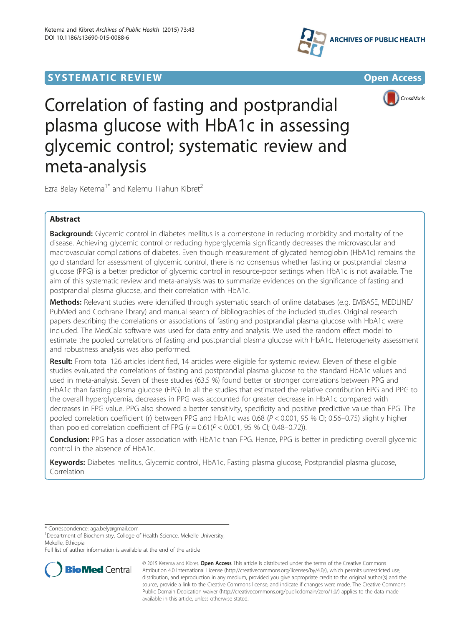# **SYSTEMATIC REVIEW ACCESS AND LOCAL CONSUMING THE CONSUMING OPEN ACCESS**





Correlation of fasting and postprandial plasma glucose with HbA1c in assessing glycemic control; systematic review and meta-analysis

Ezra Belay Ketema<sup>1\*</sup> and Kelemu Tilahun Kibret<sup>2</sup>

## Abstract

**Background:** Glycemic control in diabetes mellitus is a cornerstone in reducing morbidity and mortality of the disease. Achieving glycemic control or reducing hyperglycemia significantly decreases the microvascular and macrovascular complications of diabetes. Even though measurement of glycated hemoglobin (HbA1c) remains the gold standard for assessment of glycemic control, there is no consensus whether fasting or postprandial plasma glucose (PPG) is a better predictor of glycemic control in resource-poor settings when HbA1c is not available. The aim of this systematic review and meta-analysis was to summarize evidences on the significance of fasting and postprandial plasma glucose, and their correlation with HbA1c.

Methods: Relevant studies were identified through systematic search of online databases (e.g. EMBASE, MEDLINE/ PubMed and Cochrane library) and manual search of bibliographies of the included studies. Original research papers describing the correlations or associations of fasting and postprandial plasma glucose with HbA1c were included. The MedCalc software was used for data entry and analysis. We used the random effect model to estimate the pooled correlations of fasting and postprandial plasma glucose with HbA1c. Heterogeneity assessment and robustness analysis was also performed.

Result: From total 126 articles identified, 14 articles were eligible for systemic review. Eleven of these eligible studies evaluated the correlations of fasting and postprandial plasma glucose to the standard HbA1c values and used in meta-analysis. Seven of these studies (63.5 %) found better or stronger correlations between PPG and HbA1c than fasting plasma glucose (FPG). In all the studies that estimated the relative contribution FPG and PPG to the overall hyperglycemia, decreases in PPG was accounted for greater decrease in HbA1c compared with decreases in FPG value. PPG also showed a better sensitivity, specificity and positive predictive value than FPG. The pooled correlation coefficient (r) between PPG and HbA1c was 0.68 ( $P < 0.001$ , 95 % CI; 0.56–0.75) slightly higher than pooled correlation coefficient of FPG  $(r = 0.61 (P < 0.001, 95 \%)$  Cl; 0.48–0.72)).

Conclusion: PPG has a closer association with HbA1c than FPG. Hence, PPG is better in predicting overall glycemic control in the absence of HbA1c.

Keywords: Diabetes mellitus, Glycemic control, HbA1c, Fasting plasma glucose, Postprandial plasma glucose, Correlation

\* Correspondence: [aga.bely@gmail.com](mailto:aga.bely@gmail.com) <sup>1</sup>

<sup>1</sup>Department of Biochemistry, College of Health Science, Mekelle University, Mekelle, Ethiopia

Full list of author information is available at the end of the article



© 2015 Ketema and Kibret. Open Access This article is distributed under the terms of the Creative Commons Attribution 4.0 International License [\(http://creativecommons.org/licenses/by/4.0/\)](http://creativecommons.org/licenses/by/4.0/), which permits unrestricted use, distribution, and reproduction in any medium, provided you give appropriate credit to the original author(s) and the source, provide a link to the Creative Commons license, and indicate if changes were made. The Creative Commons Public Domain Dedication waiver ([http://creativecommons.org/publicdomain/zero/1.0/\)](http://creativecommons.org/publicdomain/zero/1.0/) applies to the data made available in this article, unless otherwise stated.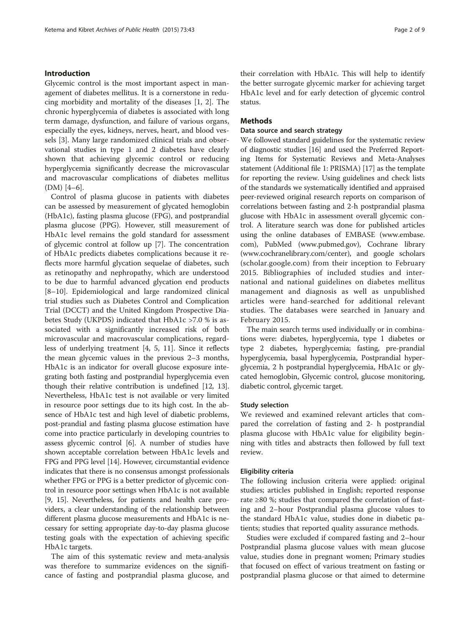#### Introduction

Glycemic control is the most important aspect in management of diabetes mellitus. It is a cornerstone in reducing morbidity and mortality of the diseases [\[1](#page-7-0), [2](#page-7-0)]. The chronic hyperglycemia of diabetes is associated with long term damage, dysfunction, and failure of various organs, especially the eyes, kidneys, nerves, heart, and blood vessels [\[3](#page-7-0)]. Many large randomized clinical trials and observational studies in type 1 and 2 diabetes have clearly shown that achieving glycemic control or reducing hyperglycemia significantly decrease the microvascular and macrovascular complications of diabetes mellitus (DM) [\[4](#page-7-0)–[6](#page-8-0)].

Control of plasma glucose in patients with diabetes can be assessed by measurement of glycated hemoglobin (HbA1c), fasting plasma glucose (FPG), and postprandial plasma glucose (PPG). However, still measurement of HbA1c level remains the gold standard for assessment of glycemic control at follow up [[7](#page-8-0)]. The concentration of HbA1c predicts diabetes complications because it reflects more harmful glycation sequelae of diabetes, such as retinopathy and nephropathy, which are understood to be due to harmful advanced glycation end products [[8](#page-8-0)–[10\]](#page-8-0). Epidemiological and large randomized clinical trial studies such as Diabetes Control and Complication Trial (DCCT) and the United Kingdom Prospective Diabetes Study (UKPDS) indicated that HbA1c >7.0 % is associated with a significantly increased risk of both microvascular and macrovascular complications, regardless of underlying treatment [[4, 5](#page-7-0), [11\]](#page-8-0). Since it reflects the mean glycemic values in the previous 2–3 months, HbA1c is an indicator for overall glucose exposure integrating both fasting and postprandial hyperglycemia even though their relative contribution is undefined [\[12](#page-8-0), [13](#page-8-0)]. Nevertheless, HbA1c test is not available or very limited in resource poor settings due to its high cost. In the absence of HbA1c test and high level of diabetic problems, post-prandial and fasting plasma glucose estimation have come into practice particularly in developing countries to assess glycemic control [[6](#page-8-0)]. A number of studies have shown acceptable correlation between HbA1c levels and FPG and PPG level [\[14\]](#page-8-0). However, circumstantial evidence indicates that there is no consensus amongst professionals whether FPG or PPG is a better predictor of glycemic control in resource poor settings when HbA1c is not available [[9, 15](#page-8-0)]. Nevertheless, for patients and health care providers, a clear understanding of the relationship between different plasma glucose measurements and HbA1c is necessary for setting appropriate day-to-day plasma glucose testing goals with the expectation of achieving specific HbA1c targets.

The aim of this systematic review and meta-analysis was therefore to summarize evidences on the significance of fasting and postprandial plasma glucose, and

their correlation with HbA1c. This will help to identify the better surrogate glycemic marker for achieving target HbA1c level and for early detection of glycemic control status.

## **Methods**

#### Data source and search strategy

We followed standard guidelines for the systematic review of diagnostic studies [[16](#page-8-0)] and used the Preferred Reporting Items for Systematic Reviews and Meta-Analyses statement (Additional file [1:](#page-7-0) PRISMA) [[17](#page-8-0)] as the template for reporting the review. Using guidelines and check lists of the standards we systematically identified and appraised peer-reviewed original research reports on comparison of correlations between fasting and 2-h postprandial plasma glucose with HbA1c in assessment overall glycemic control. A literature search was done for published articles using the online databases of EMBASE [\(www.embase.](http://www.embase.com) [com](http://www.embase.com)), PubMed [\(www.pubmed.gov](http://www.pubmed.gov)), Cochrane library ([www.cochranelibrary.com/center](http://www.cochranelibrary.com/center)), and google scholars (scholar.google.com) from their inception to February 2015. Bibliographies of included studies and international and national guidelines on diabetes mellitus management and diagnosis as well as unpublished articles were hand-searched for additional relevant studies. The databases were searched in January and February 2015.

The main search terms used individually or in combinations were: diabetes, hyperglycemia, type 1 diabetes or type 2 diabetes, hyperglycemia; fasting, pre-prandial hyperglycemia, basal hyperglycemia, Postprandial hyperglycemia, 2 h postprandial hyperglycemia, HbA1c or glycated hemoglobin, Glycemic control, glucose monitoring, diabetic control, glycemic target.

#### Study selection

We reviewed and examined relevant articles that compared the correlation of fasting and 2- h postprandial plasma glucose with HbA1c value for eligibility beginning with titles and abstracts then followed by full text review.

### Eligibility criteria

The following inclusion criteria were applied: original studies; articles published in English; reported response rate ≥80 %; studies that compared the correlation of fasting and 2–hour Postprandial plasma glucose values to the standard HbA1c value, studies done in diabetic patients; studies that reported quality assurance methods.

Studies were excluded if compared fasting and 2–hour Postprandial plasma glucose values with mean glucose value, studies done in pregnant women; Primary studies that focused on effect of various treatment on fasting or postprandial plasma glucose or that aimed to determine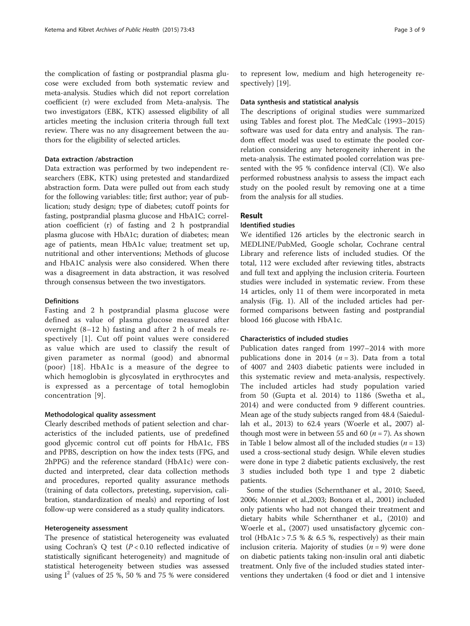the complication of fasting or postprandial plasma glucose were excluded from both systematic review and meta-analysis. Studies which did not report correlation coefficient (r) were excluded from Meta-analysis. The two investigators (EBK, KTK) assessed eligibility of all articles meeting the inclusion criteria through full text review. There was no any disagreement between the authors for the eligibility of selected articles.

## Data extraction /abstraction

Data extraction was performed by two independent researchers (EBK, KTK) using pretested and standardized abstraction form. Data were pulled out from each study for the following variables: title; first author; year of publication; study design; type of diabetes; cutoff points for fasting, postprandial plasma glucose and HbA1C; correlation coefficient (r) of fasting and 2 h postprandial plasma glucose with HbA1c; duration of diabetes; mean age of patients, mean HbA1c value; treatment set up, nutritional and other interventions; Methods of glucose and HbA1C analysis were also considered. When there was a disagreement in data abstraction, it was resolved through consensus between the two investigators.

## Definitions

Fasting and 2 h postprandial plasma glucose were defined as value of plasma glucose measured after overnight (8–12 h) fasting and after 2 h of meals respectively [[1\]](#page-7-0). Cut off point values were considered as value which are used to classify the result of given parameter as normal (good) and abnormal (poor) [[18\]](#page-8-0). HbA1c is a measure of the degree to which hemoglobin is glycosylated in erythrocytes and is expressed as a percentage of total hemoglobin concentration [[9](#page-8-0)].

#### Methodological quality assessment

Clearly described methods of patient selection and characteristics of the included patients, use of predefined good glycemic control cut off points for HbA1c, FBS and PPBS, description on how the index tests (FPG, and 2hPPG) and the reference standard (HbA1c) were conducted and interpreted, clear data collection methods and procedures, reported quality assurance methods (training of data collectors, pretesting, supervision, calibration, standardization of meals) and reporting of lost follow-up were considered as a study quality indicators.

#### Heterogeneity assessment

The presence of statistical heterogeneity was evaluated using Cochran's Q test  $(P < 0.10$  reflected indicative of statistically significant heterogeneity) and magnitude of statistical heterogeneity between studies was assessed using  $I^2$  (values of 25 %, 50 % and 75 % were considered to represent low, medium and high heterogeneity respectively) [\[19](#page-8-0)].

### Data synthesis and statistical analysis

The descriptions of original studies were summarized using Tables and forest plot. The MedCalc (1993–2015) software was used for data entry and analysis. The random effect model was used to estimate the pooled correlation considering any heterogeneity inherent in the meta-analysis. The estimated pooled correlation was presented with the 95 % confidence interval (CI). We also performed robustness analysis to assess the impact each study on the pooled result by removing one at a time from the analysis for all studies.

## Result

## Identified studies

We identified 126 articles by the electronic search in MEDLINE/PubMed, Google scholar, Cochrane central Library and reference lists of included studies. Of the total, 112 were excluded after reviewing titles, abstracts and full text and applying the inclusion criteria. Fourteen studies were included in systematic review. From these 14 articles, only 11 of them were incorporated in meta analysis (Fig. [1\)](#page-3-0). All of the included articles had performed comparisons between fasting and postprandial blood 166 glucose with HbA1c.

#### Characteristics of included studies

Publication dates ranged from 1997–2014 with more publications done in 2014 ( $n = 3$ ). Data from a total of 4007 and 2403 diabetic patients were included in this systematic review and meta-analysis, respectively. The included articles had study population varied from 50 (Gupta et al. 2014) to 1186 (Swetha et al., 2014) and were conducted from 9 different countries. Mean age of the study subjects ranged from 48.4 (Saiedullah et al., 2013) to 62.4 years (Woerle et al., 2007) although most were in between 55 and 60 ( $n = 7$ ). As shown in Table [1](#page-4-0) below almost all of the included studies ( $n = 13$ ) used a cross-sectional study design. While eleven studies were done in type 2 diabetic patients exclusively, the rest 3 studies included both type 1 and type 2 diabetic patients.

Some of the studies (Schernthaner et al., 2010; Saeed, 2006; Monnier et al.,2003; Bonora et al., 2001) included only patients who had not changed their treatment and dietary habits while Schernthaner et al., (2010) and Woerle et al., (2007) used unsatisfactory glycemic control (HbA1c > 7.5 % & 6.5 %, respectively) as their main inclusion criteria. Majority of studies  $(n = 9)$  were done on diabetic patients taking non-insulin oral anti diabetic treatment. Only five of the included studies stated interventions they undertaken (4 food or diet and 1 intensive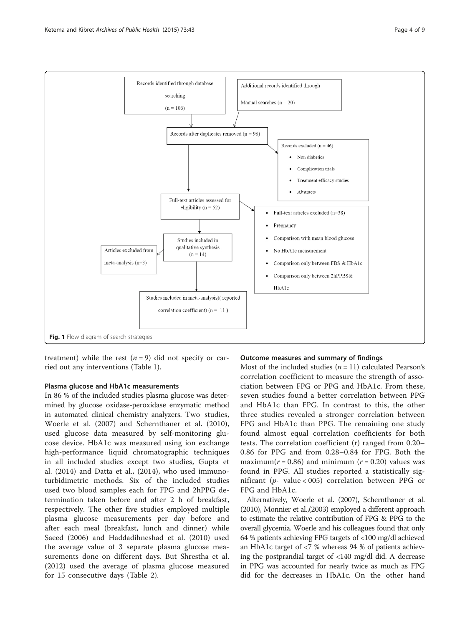

<span id="page-3-0"></span>

treatment) while the rest  $(n = 9)$  did not specify or carried out any interventions (Table [1](#page-4-0)).

## Plasma glucose and HbA1c measurements

In 86 % of the included studies plasma glucose was determined by glucose oxidase-peroxidase enzymatic method in automated clinical chemistry analyzers. Two studies, Woerle et al. (2007) and Schernthaner et al. (2010), used glucose data measured by self-monitoring glucose device. HbA1c was measured using ion exchange high-performance liquid chromatographic techniques in all included studies except two studies, Gupta et al. (2014) and Datta et al., (2014), who used immunoturbidimetric methods. Six of the included studies used two blood samples each for FPG and 2hPPG determination taken before and after 2 h of breakfast, respectively. The other five studies employed multiple plasma glucose measurements per day before and after each meal (breakfast, lunch and dinner) while Saeed (2006) and Haddadihneshad et al. (2010) used the average value of 3 separate plasma glucose measurements done on different days. But Shrestha et al. (2012) used the average of plasma glucose measured for 15 consecutive days (Table [2\)](#page-4-0).

#### Outcome measures and summary of findings

Most of the included studies  $(n = 11)$  calculated Pearson's correlation coefficient to measure the strength of association between FPG or PPG and HbA1c. From these, seven studies found a better correlation between PPG and HbA1c than FPG. In contrast to this, the other three studies revealed a stronger correlation between FPG and HbA1c than PPG. The remaining one study found almost equal correlation coefficients for both tests. The correlation coefficient (r) ranged from 0.20– 0.86 for PPG and from 0.28–0.84 for FPG. Both the maximum( $r = 0.86$ ) and minimum ( $r = 0.20$ ) values was found in PPG. All studies reported a statistically significant ( $p$ - value < 005) correlation between PPG or FPG and HbA1c.

Alternatively, Woerle et al. (2007), Schernthaner et al. (2010), Monnier et al.,(2003) employed a different approach to estimate the relative contribution of FPG & PPG to the overall glycemia. Woerle and his colleagues found that only 64 % patients achieving FPG targets of <100 mg/dl achieved an HbA1c target of <7 % whereas 94 % of patients achieving the postprandial target of <140 mg/dl did. A decrease in PPG was accounted for nearly twice as much as FPG did for the decreases in HbA1c. On the other hand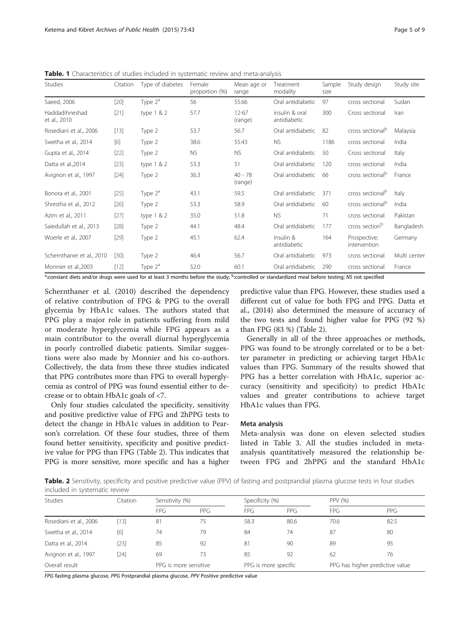| <b>Studies</b>                 | Citation | Type of diabetes | Female<br>proportion (%) | Mean age or<br>range | Treatment<br>modality          | Sample<br>size | Study design                 | Study site   |
|--------------------------------|----------|------------------|--------------------------|----------------------|--------------------------------|----------------|------------------------------|--------------|
| Saeed, 2006                    | $[20]$   | Type $2^a$       | 56                       | 55.66                | Oral antidiabetic              | 97             | cross sectional              | Sudan        |
| Haddadihneshad<br>et al., 2010 | $[21]$   | type $1 & 2$     | 57.7                     | $12 - 67$<br>(range) | insulin & oral<br>antidiabetic | 300            | Cross sectional              | Iran         |
| Rosediani et al., 2006         | $[13]$   | Type 2           | 53.7                     | 56.7                 | Oral antidiabetic              | 82             | cross sectional <sup>b</sup> | Malaysia     |
| Swetha et al., 2014            | [6]      | Type 2           | 38.6                     | 55.43                | <b>NS</b>                      | 1186           | cross sectional              | India        |
| Gupta et al., 2014             | $[22]$   | Type 2           | <b>NS</b>                | <b>NS</b>            | Oral antidiabetic              | 50             | Cross sectional              | Italy        |
| Datta et al.,2014              | $[23]$   | type $1 & 2$     | 53.3                     | 51                   | Oral antidiabetic              | 120            | cross sectional              | India        |
| Avignon et al., 1997           | $[24]$   | Type 2           | 36.3                     | $40 - 78$<br>(range) | Oral antidiabetic              | 66             | cross sectional <sup>b</sup> | France       |
| Bonora et al., 2001            | $[25]$   | Type $2^a$       | 43.1                     | 59.5                 | Oral antidiabetic              | 371            | cross sectional <sup>b</sup> | Italy        |
| Shrestha et al., 2012          | $[26]$   | Type 2           | 53.3                     | 58.9                 | Oral antidiabetic              | 60             | cross sectional <sup>b</sup> | India        |
| Azim et al., 2011              | $[27]$   | type $1 & 2$     | 35.0                     | 51.8                 | <b>NS</b>                      | 71             | cross sectional              | Pakistan     |
| Saiedullah et al., 2013        | $[28]$   | Type 2           | 44.1                     | 48.4                 | Oral antidiabetic              | 177            | cross section <sup>b</sup>   | Bangladesh   |
| Woerle et al., 2007            | $[29]$   | Type 2           | 45.1                     | 62.4                 | Insulin &<br>antidiabetic      | 164            | Prospective;<br>intervention | Germany      |
| Schernthaner et al., 2010      | $[30]$   | Type 2           | 46.4                     | 56.7                 | Oral antidiabetic              | 973            | cross sectional              | Multi center |
| Monnier et al.,2003            | $[12]$   | Type $2^a$       | 52.0                     | 60.1                 | Oral antidiabetic              | 290            | cross sectional              | France       |

<span id="page-4-0"></span>Table. 1 Characteristics of studies included in systematic review and meta-analysis

<sup>a</sup>:constant diets and/or drugs were used for at least 3 months before the study; <sup>b</sup>:controlled or standardized meal before testing; NS not specified

Schernthaner et al. (2010) described the dependency of relative contribution of FPG & PPG to the overall glycemia by HbA1c values. The authors stated that PPG play a major role in patients suffering from mild or moderate hyperglycemia while FPG appears as a main contributor to the overall diurnal hyperglycemia in poorly controlled diabetic patients. Similar suggestions were also made by Monnier and his co-authors. Collectively, the data from these three studies indicated that PPG contributes more than FPG to overall hyperglycemia as control of PPG was found essential either to decrease or to obtain HbA1c goals of <7.

Only four studies calculated the specificity, sensitivity and positive predictive value of FPG and 2hPPG tests to detect the change in HbA1c values in addition to Pearson's correlation. Of these four studies, three of them found better sensitivity, specificity and positive predictive value for PPG than FPG (Table 2). This indicates that PPG is more sensitive, more specific and has a higher

predictive value than FPG. However, these studies used a different cut of value for both FPG and PPG. Datta et al., (2014) also determined the measure of accuracy of the two tests and found higher value for PPG (92 %) than FPG (83 %) (Table 2).

Generally in all of the three approaches or methods, PPG was found to be strongly correlated or to be a better parameter in predicting or achieving target HbA1c values than FPG. Summary of the results showed that PPG has a better correlation with HbA1c, superior accuracy (sensitivity and specificity) to predict HbA1c values and greater contributions to achieve target HbA1c values than FPG.

#### Meta analysis

Meta-analysis was done on eleven selected studies listed in Table [3.](#page-6-0) All the studies included in metaanalysis quantitatively measured the relationship between FPG and 2hPPG and the standard HbA1c

Table. 2 Sensitivity, specificity and positive predictive value (PPV) of fasting and postprandial plasma glucose tests in four studies included in systematic review

| <b>Studies</b>         | Citation |                       | Sensitivity (%) |      | Specificity (%)      |            | PPV (%)                         |  |
|------------------------|----------|-----------------------|-----------------|------|----------------------|------------|---------------------------------|--|
|                        |          | <b>FPG</b>            | PPG             | FPG. | PPG                  | <b>FPG</b> | PPG                             |  |
| Rosediani et al., 2006 | $[13]$   | 81                    | 75              | 58.3 | 80.6                 | 70.6       | 82.5                            |  |
| Swetha et al., 2014    | [6]      | 74                    | 79              | 84   | 74                   | 87         | 80                              |  |
| Datta et al., 2014     | [23]     | 85                    | 92              | 81   | 90                   | 89         | 95                              |  |
| Avignon et al., 1997   | [24]     | 69                    | 73              | 85   | 92                   | 62         | 76                              |  |
| Overall result         |          | PPG is more sensitive |                 |      | PPG is more specific |            | PPG has higher predictive value |  |

FPG fasting plasma glucose, PPG Postprandial plasma glucose, PPV Positive predictive value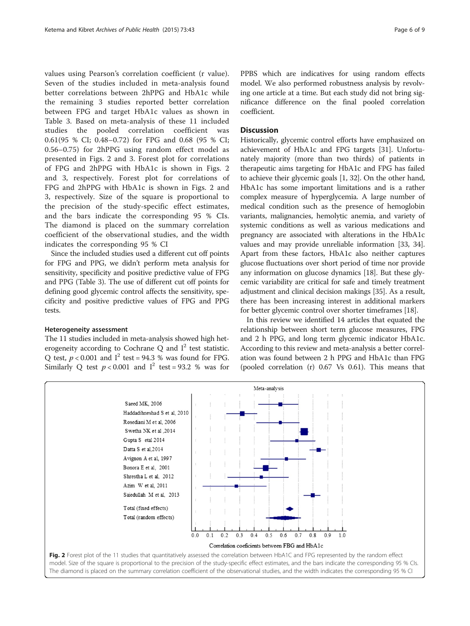values using Pearson's correlation coefficient (r value). Seven of the studies included in meta-analysis found better correlations between 2hPPG and HbA1c while the remaining 3 studies reported better correlation between FPG and target HbA1c values as shown in Table [3.](#page-6-0) Based on meta-analysis of these 11 included studies the pooled correlation coefficient was 0.61(95 % CI; 0.48–0.72) for FPG and 0.68 (95 % CI; 0.56–0.75) for 2hPPG using random effect model as presented in Figs. 2 and [3](#page-6-0). Forest plot for correlations of FPG and 2hPPG with HbA1c is shown in Figs. 2 and [3,](#page-6-0) respectively. Forest plot for correlations of FPG and 2hPPG with HbA1c is shown in Figs. 2 and [3,](#page-6-0) respectively. Size of the square is proportional to the precision of the study-specific effect estimates, and the bars indicate the corresponding 95 % CIs. The diamond is placed on the summary correlation coefficient of the observational studies, and the width indicates the corresponding 95 % CI

Since the included studies used a different cut off points for FPG and PPG, we didn't perform meta analysis for sensitivity, specificity and positive predictive value of FPG and PPG (Table [3](#page-6-0)). The use of different cut off points for defining good glycemic control affects the sensitivity, specificity and positive predictive values of FPG and PPG tests.

#### Heterogeneity assessment

The 11 studies included in meta-analysis showed high heterogeneity according to Cochrane  $\Omega$  and  $I^2$  test statistic. Q test,  $p < 0.001$  and  $I^2$  test = 94.3 % was found for FPG. Similarly Q test  $p < 0.001$  and  $I^2$  test = 93.2 % was for

PPBS which are indicatives for using random effects model. We also performed robustness analysis by revolving one article at a time. But each study did not bring significance difference on the final pooled correlation coefficient.

## **Discussion**

Historically, glycemic control efforts have emphasized on achievement of HbA1c and FPG targets [\[31\]](#page-8-0). Unfortunately majority (more than two thirds) of patients in therapeutic aims targeting for HbA1c and FPG has failed to achieve their glycemic goals [[1](#page-7-0), [32\]](#page-8-0). On the other hand, HbA1c has some important limitations and is a rather complex measure of hyperglycemia. A large number of medical condition such as the presence of hemoglobin variants, malignancies, hemolytic anemia, and variety of systemic conditions as well as various medications and pregnancy are associated with alterations in the HbA1c values and may provide unreliable information [[33](#page-8-0), [34](#page-8-0)]. Apart from these factors, HbA1c also neither captures glucose fluctuations over short period of time nor provide any information on glucose dynamics [\[18\]](#page-8-0). But these glycemic variability are critical for safe and timely treatment adjustment and clinical decision makings [[35](#page-8-0)]. As a result, there has been increasing interest in additional markers for better glycemic control over shorter timeframes [\[18\]](#page-8-0).

In this review we identified 14 articles that equated the relationship between short term glucose measures, FPG and 2 h PPG, and long term glycemic indicator HbA1c. According to this review and meta-analysis a better correlation was found between 2 h PPG and HbA1c than FPG (pooled correlation (r) 0.67 Vs 0.61). This means that

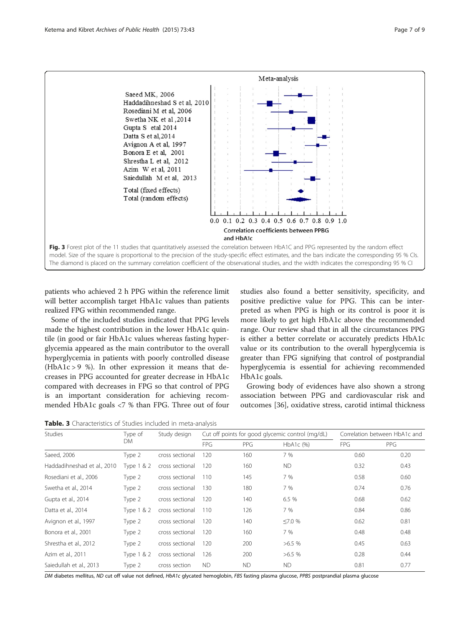<span id="page-6-0"></span>

patients who achieved 2 h PPG within the reference limit will better accomplish target HbA1c values than patients realized FPG within recommended range.

Some of the included studies indicated that PPG levels made the highest contribution in the lower HbA1c quintile (in good or fair HbA1c values whereas fasting hyperglycemia appeared as the main contributor to the overall hyperglycemia in patients with poorly controlled disease (HbA1c > 9 %). In other expression it means that decreases in PPG accounted for greater decrease in HbA1c compared with decreases in FPG so that control of PPG is an important consideration for achieving recommended HbA1c goals <7 % than FPG. Three out of four

studies also found a better sensitivity, specificity, and positive predictive value for PPG. This can be interpreted as when PPG is high or its control is poor it is more likely to get high HbA1c above the recommended range. Our review shad that in all the circumstances PPG is either a better correlate or accurately predicts HbA1c value or its contribution to the overall hyperglycemia is greater than FPG signifying that control of postprandial hyperglycemia is essential for achieving recommended HbA1c goals.

Growing body of evidences have also shown a strong association between PPG and cardiovascular risk and outcomes [[36](#page-8-0)], oxidative stress, carotid intimal thickness

Table. 3 Characteristics of Studies included in meta-analysis

| Studies                     | Type of<br>DM | Study design    | Cut off points for good glycemic control (mg/dL) |            |               | Correlation between HbA1c and |            |
|-----------------------------|---------------|-----------------|--------------------------------------------------|------------|---------------|-------------------------------|------------|
|                             |               |                 | <b>FPG</b>                                       | <b>PPG</b> | $HbA1c$ (%)   | <b>FPG</b>                    | <b>PPG</b> |
| Saeed, 2006                 | Type 2        | cross sectional | 120                                              | 160        | 7 %           | 0.60                          | 0.20       |
| Haddadihneshad et al., 2010 | Type 1 & 2    | cross sectional | 120                                              | 160        | <b>ND</b>     | 0.32                          | 0.43       |
| Rosediani et al., 2006      | Type 2        | cross sectional | 110                                              | 145        | 7 %           | 0.58                          | 0.60       |
| Swetha et al., 2014         | Type 2        | cross sectional | 130                                              | 180        | 7 %           | 0.74                          | 0.76       |
| Gupta et al., 2014          | Type 2        | cross sectional | 120                                              | 140        | 6.5%          | 0.68                          | 0.62       |
| Datta et al., 2014          | Type 1 & 2    | cross sectional | 110                                              | 126        | 7 %           | 0.84                          | 0.86       |
| Avignon et al., 1997        | Type 2        | cross sectional | 120                                              | 140        | $\leq 7.0 \%$ | 0.62                          | 0.81       |
| Bonora et al., 2001         | Type 2        | cross sectional | 120                                              | 160        | 7 %           | 0.48                          | 0.48       |
| Shrestha et al., 2012       | Type 2        | cross sectional | 120                                              | 200        | $>6.5\%$      | 0.45                          | 0.63       |
| Azim et al., 2011           | Type 1 & 2    | cross sectional | 126                                              | 200        | >6.5%         | 0.28                          | 0.44       |
| Saiedullah et al., 2013     | Type 2        | cross section   | <b>ND</b>                                        | <b>ND</b>  | <b>ND</b>     | 0.81                          | 0.77       |

DM diabetes mellitus, ND cut off value not defined, HbA1c glycated hemoglobin, FBS fasting plasma glucose, PPBS postprandial plasma glucose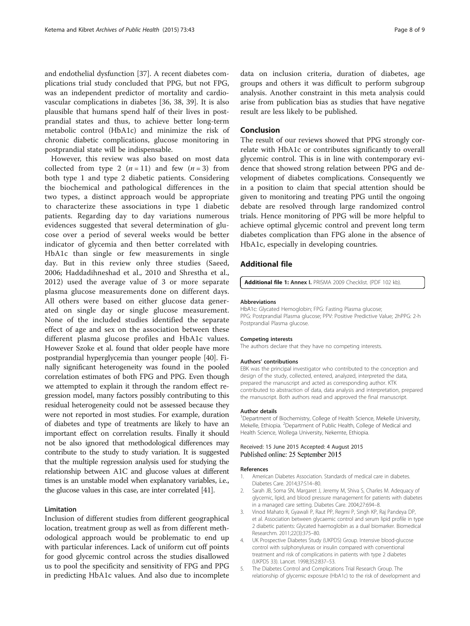<span id="page-7-0"></span>and endothelial dysfunction [[37](#page-8-0)]. A recent diabetes complications trial study concluded that PPG, but not FPG, was an independent predictor of mortality and cardiovascular complications in diabetes [\[36, 38](#page-8-0), [39\]](#page-8-0). It is also plausible that humans spend half of their lives in postprandial states and thus, to achieve better long-term metabolic control (HbA1c) and minimize the risk of chronic diabetic complications, glucose monitoring in postprandial state will be indispensable.

However, this review was also based on most data collected from type 2  $(n = 11)$  and few  $(n = 3)$  from both type 1 and type 2 diabetic patients. Considering the biochemical and pathological differences in the two types, a distinct approach would be appropriate to characterize these associations in type 1 diabetic patients. Regarding day to day variations numerous evidences suggested that several determination of glucose over a period of several weeks would be better indicator of glycemia and then better correlated with HbA1c than single or few measurements in single day. But in this review only three studies (Saeed, 2006; Haddadihneshad et al., 2010 and Shrestha et al., 2012) used the average value of 3 or more separate plasma glucose measurements done on different days. All others were based on either glucose data generated on single day or single glucose measurement. None of the included studies identified the separate effect of age and sex on the association between these different plasma glucose profiles and HbA1c values. However Szoke et al. found that older people have more postprandial hyperglycemia than younger people [\[40\]](#page-8-0). Finally significant heterogeneity was found in the pooled correlation estimates of both FPG and PPG. Even though we attempted to explain it through the random effect regression model, many factors possibly contributing to this residual heterogeneity could not be assessed because they were not reported in most studies. For example, duration of diabetes and type of treatments are likely to have an important effect on correlation results. Finally it should not be also ignored that methodological differences may contribute to the study to study variation. It is suggested that the multiple regression analysis used for studying the relationship between A1C and glucose values at different times is an unstable model when explanatory variables, i.e., the glucose values in this case, are inter correlated [\[41](#page-8-0)].

## Limitation

Inclusion of different studies from different geographical location, treatment group as well as from different methodological approach would be problematic to end up with particular inferences. Lack of uniform cut off points for good glycemic control across the studies disallowed us to pool the specificity and sensitivity of FPG and PPG in predicting HbA1c values. And also due to incomplete

data on inclusion criteria, duration of diabetes, age groups and others it was difficult to perform subgroup analysis. Another constraint in this meta analysis could arise from publication bias as studies that have negative result are less likely to be published.

#### Conclusion

The result of our reviews showed that PPG strongly correlate with HbA1c or contributes significantly to overall glycemic control. This is in line with contemporary evidence that showed strong relation between PPG and development of diabetes complications. Consequently we in a position to claim that special attention should be given to monitoring and treating PPG until the ongoing debate are resolved through large randomized control trials. Hence monitoring of PPG will be more helpful to achieve optimal glycemic control and prevent long term diabetes complication than FPG alone in the absence of HbA1c, especially in developing countries.

#### Additional file

[Additional file 1:](http://www.archpublichealth.com/content/supplementary/s13690-015-0088-6-s1.pdf) Annex I. PRISMA 2009 Checklist. (PDF 102 kb).

#### Abbreviations

HbA1c: Glycated Hemoglobin; FPG: Fasting Plasma glucose; PPG: Postprandial Plasma glucose; PPV: Positive Predictive Value; 2hPPG: 2-h Postprandial Plasma glucose.

#### Competing interests

The authors declare that they have no competing interests.

#### Authors' contributions

EBK was the principal investigator who contributed to the conception and design of the study, collected, entered, analyzed, interpreted the data, prepared the manuscript and acted as corresponding author. KTK contributed to abstraction of data, data analysis and interpretation, prepared the manuscript. Both authors read and approved the final manuscript.

#### Author details

<sup>1</sup>Department of Biochemistry, College of Health Science, Mekelle University Mekelle, Ethiopia. <sup>2</sup>Department of Public Health, College of Medical and Health Science, Wollega University, Nekemte, Ethiopia.

#### Received: 15 June 2015 Accepted: 4 August 2015 Published online: 25 September 2015

#### References

- 1. American Diabetes Association. Standards of medical care in diabetes. Diabetes Care. 2014;37:S14–80.
- 2. Sarah JB, Soma SN, Margaret J, Jeremy M, Shiva S, Charles M. Adequacy of glycemic, lipid, and blood pressure management for patients with diabetes in a managed care setting. Diabetes Care. 2004;27:694–8.
- 3. Vinod Mahato R, Gyawali P, Raut PP, Regmi P, Singh KP, Raj Pandeya DP, et al. Association between glycaemic control and serum lipid profile in type 2 diabetic patients: Glycated haemoglobin as a dual biomarker. Biomedical Researchm. 2011;22(3):375–80.
- 4. UK Prospective Diabetes Study (UKPDS) Group. Intensive blood-glucose control with sulphonylureas or insulin compared with conventional treatment and risk of complications in patients with type 2 diabetes (UKPDS 33). Lancet. 1998;352:837–53.
- 5. The Diabetes Control and Complications Trial Research Group. The relationship of glycemic exposure (HbA1c) to the risk of development and